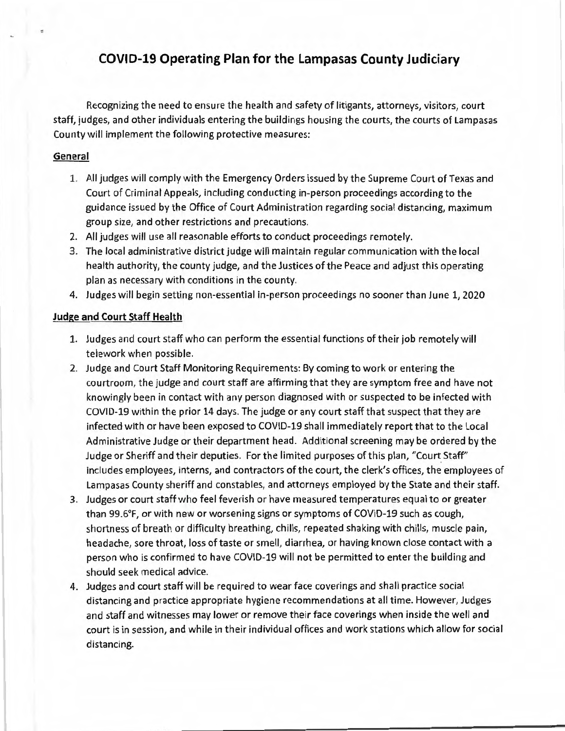# **COVID-19 Operating Plan for the Lampasas County Judiciary**

Recognizing the need to ensure the health and safety of litigants, attorneys, visitors, court staff, judges, and other individuals entering the buildings housing the courts, the courts of Lampasas County will implement the following protective measures:

#### **General**

- 1. All judges will comply with the Emergency Orders issued by the Supreme Court of Texas and Court of Criminal Appeals, including conducting in-person proceedings according to the guidance issued by the Office of Court Administration regarding social distancing, maximum group size, and other restrictions and precautions.
- 2. All judges will use all reasonable efforts to conduct proceedings remotely.
- 3. The local administrative district judge will maintain regular communication with the local health authority, the county judge, and the Justices of the Peace and adjust this operating plan as necessary with conditions in the county.
- 4. Judges will begin setting non-essential in-person proceedings no sooner than June 1, 2020

## **Judge and Court Staff Health**

- 1. Judges and court staff who can perform the essential functions of their job remotely will telework when possible.
- 2. Judge and Court Staff Monitoring Requirements: By coming to work or entering the courtroom, the judge and court staff are affirming that they are symptom free and have not knowingly been in contact with any person diagnosed with or suspected to be infected with COVID-19 within the prior 14 days. The judge or any court staff that suspect that they are infected with or have been exposed to COVID-19 shall immediately report that to the Local Administrative Judge or their department head. Additional screening may be ordered by the Judge or Sheriff and their deputies. For the limited purposes of this plan, "Court Staff" includes employees, interns, and contractors of the court, the clerk's offices, the employees of Lampasas County sheriff and constables, and attorneys employed by the State and their staff.
- 3. Judges or court staff who feel feverish or have measured temperatures equal to or greater than 99.6°F, or with new or worsening signs or symptoms of COVID-19 such as cough, shortness of breath or difficulty breathing, chills, repeated shaking with chills, muscle pain, headache, sore throat, loss of taste or smell, diarrhea, or having known close contact with a person who is confirmed to have COVID-19 will not be permitted to enter the building and should seek medical advice.
- 4. Judges and court staff will be required to wear face coverings and shall practice social distancing and practice appropriate hygiene recommendations at all time. However, Judges and staff and witnesses may lower or remove their face coverings when inside the well and court is in session, and while in their individual offices and work stations which allow for social distancing.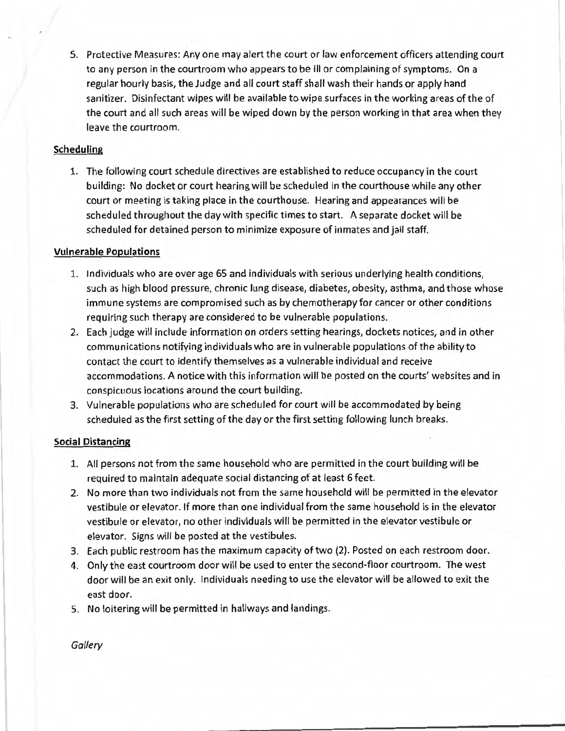5. Protective Measures: Any one may alert the court or law enforcement officers attending court to any person in the courtroom who appears to be ill or complaining of symptoms. On a regular hourly basis, the Judge and all court staff shall wash their hands or apply hand sanitizer. Disinfectant wipes will be available to wipe surfaces in the working areas of the of the court and all such areas will be wiped down by the person working in that area when they leave the courtroom.

## **Scheduling**

1. The following court schedule directives are established to reduce occupancy in the court building: No docket or court hearing will be scheduled in the courthouse while any other court or meeting is taking place in the courthouse. Hearing and appearances will be scheduled throughout the day with specific times to start. A separate docket will be scheduled for detained person to minimize exposure of inmates and jail staff.

## **Vulnerable Populations**

- 1. Individuals who are over age 65 and individuals with serious underlying health conditions, such as high blood pressure, chronic lung disease, diabetes, obesity, asthma, and those whose immune systems are compromised such as by chemotherapy for cancer or other conditions requiring such therapy are considered to be vulnerable populations.
- 2. Each judge will include information on orders setting hearings, dockets notices, and in other communications notifying individuals who are in vulnerable populations of the ability to contact the court to identify themselves as a vulnerable individual and receive accommodations. A notice with this information will be posted on the courts' websites and in conspicuous locations around the court building.
- 3. Vulnerable populations who are scheduled for court will be accommodated by being scheduled as the first setting of the day or the first setting following lunch breaks.

# **Social Distancing**

- 1. All persons not from the same household who are permitted in the court building will be required to maintain adequate social distancing of at least 6 feet.
- 2. No more than two individuals not from the same household will be permitted in the elevator vestibule or elevator. If more than one individual from the same household is in the elevator vestibule or elevator, no other individuals will be permitted in the elevator vestibule or elevator. Signs will be posted at the vestibules.
- 3. Each public restroom has the maximum capacity of two (2). Posted on each restroom door.
- 4. Only the east courtroom door will be used to enter the second-floor courtroom. The west door will be an exit only. Individuals needing to use the elevator will be allowed to exit the east door.
- 5. No loitering will be permitted in hallways and landings.

**Gallery**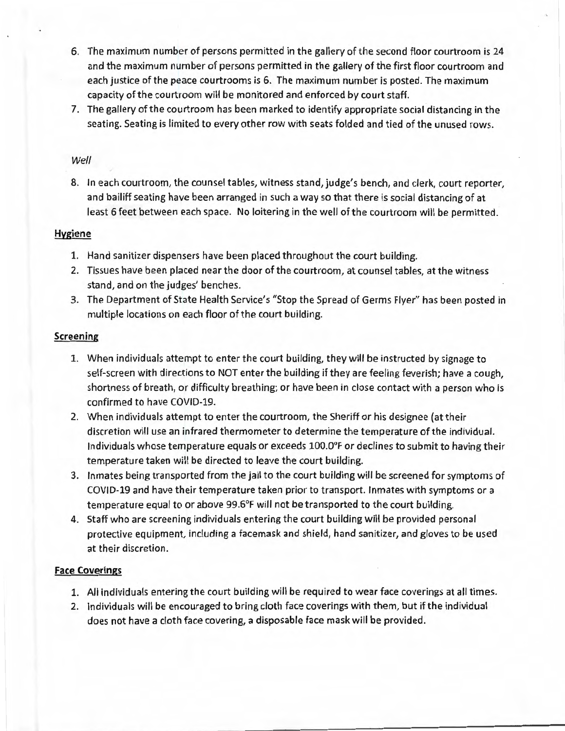- 6. The maximum number of persons permitted in the gallery of the second floor courtroom is 24 and the maximum number of persons permitted in the gallery of the first floor courtroom and each justice of the peace courtrooms is 6. The maximum number is posted. The maximum capacity of the courtroom will be monitored and enforced by court staff.
- 7. The gallery of the courtroom has been marked to identify appropriate social distancing in the seating. Seating is limited to every other row with seats folded and tied of the unused rows.

## Well

8. In each courtroom, the counsel tables, witness stand, judge's bench, and clerk, court reporter, and bailiff seating have been arranged in such a way so that there is social distancing of at least 6 feet between each space. No loitering in the well of the courtroom will be permitted.

## **Hygiene**

- 1. Hand sanitizer dispensers have been placed throughout the court building.
- 2. Tissues have been placed near the door of the courtroom, at counsel tables, at the witness stand, and on the judges' benches.
- 3. The Department of State Health Service's "Stop the Spread of Germs Flyer" has been posted in multiple locations on each floor of the court building.

## **Screening**

- 1. When individuals attempt to enter the court building, they will be instructed by signage to self-screen with directions to NOT enter the building if they are feeling feverish; have a cough, shortness of breath, or difficulty breathing; or have been in close contact with a person who is confirmed to have COVID-19.
- 2. When individuals attempt to enter the courtroom, the Sheriff or his designee (at their discretion will use an infrared thermometer to determine the temperature of the individual. Individuals whose temperature equals or exceeds 100.0°F or declines to submit to having their temperature taken will be directed to leave the court building.
- 3. Inmates being transported from the jail to the court building will be screened for symptoms of COVID-19 and have their temperature taken prior to transport. Inmates with symptoms or a temperature equal to or above 99.6°F will not be transported to the court building.
- 4. Staff who are screening individuals entering the court building will be provided personal protective equipment, including a facemask and shield, hand sanitizer, and gloves to be used at their discretion.

# **Face Coverings**

- 1. All individuals entering the court building will be required to wear face coverings at all times.
- 2. Individuals will be encouraged to bring cloth face coverings with them, but if the individual does not have a cloth face covering, a disposable face mask will be provided.